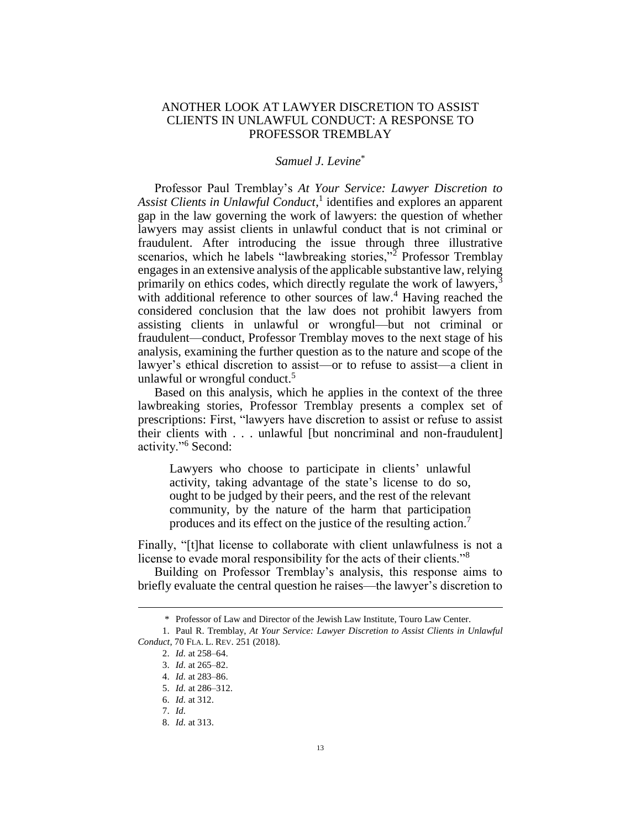## ANOTHER LOOK AT LAWYER DISCRETION TO ASSIST CLIENTS IN UNLAWFUL CONDUCT: A RESPONSE TO PROFESSOR TREMBLAY

## <span id="page-0-0"></span>*Samuel J. Levine*\*

Professor Paul Tremblay's *At Your Service: Lawyer Discretion to Assist Clients in Unlawful Conduct*, 1 identifies and explores an apparent gap in the law governing the work of lawyers: the question of whether lawyers may assist clients in unlawful conduct that is not criminal or fraudulent. After introducing the issue through three illustrative scenarios, which he labels "lawbreaking stories,"<sup>2</sup> Professor Tremblay engages in an extensive analysis of the applicable substantive law, relying primarily on ethics codes, which directly regulate the work of lawyers,<sup>3</sup> with additional reference to other sources of law.<sup>4</sup> Having reached the considered conclusion that the law does not prohibit lawyers from assisting clients in unlawful or wrongful—but not criminal or fraudulent—conduct, Professor Tremblay moves to the next stage of his analysis, examining the further question as to the nature and scope of the lawyer's ethical discretion to assist—or to refuse to assist—a client in unlawful or wrongful conduct. $5$ 

Based on this analysis, which he applies in the context of the three lawbreaking stories, Professor Tremblay presents a complex set of prescriptions: First, "lawyers have discretion to assist or refuse to assist their clients with . . . unlawful [but noncriminal and non-fraudulent] activity."<sup>6</sup> Second:

Lawyers who choose to participate in clients' unlawful activity, taking advantage of the state's license to do so, ought to be judged by their peers, and the rest of the relevant community, by the nature of the harm that participation produces and its effect on the justice of the resulting action.<sup>7</sup>

Finally, "[t]hat license to collaborate with client unlawfulness is not a license to evade moral responsibility for the acts of their clients."<sup>8</sup>

Building on Professor Tremblay's analysis, this response aims to briefly evaluate the central question he raises—the lawyer's discretion to

<sup>\*</sup> Professor of Law and Director of the Jewish Law Institute, Touro Law Center.

<sup>1.</sup> Paul R. Tremblay, *At Your Service: Lawyer Discretion to Assist Clients in Unlawful Conduct*, 70 FLA. L. REV. 251 (2018).

<sup>2.</sup> *Id.* at 258–64.

<sup>3.</sup> *Id.* at 265–82.

<sup>4.</sup> *Id.* at 283–86.

<sup>5.</sup> *Id.* at 286–312.

<sup>6.</sup> *Id.* at 312.

<sup>7.</sup> *Id.*

<sup>8.</sup> *Id.* at 313.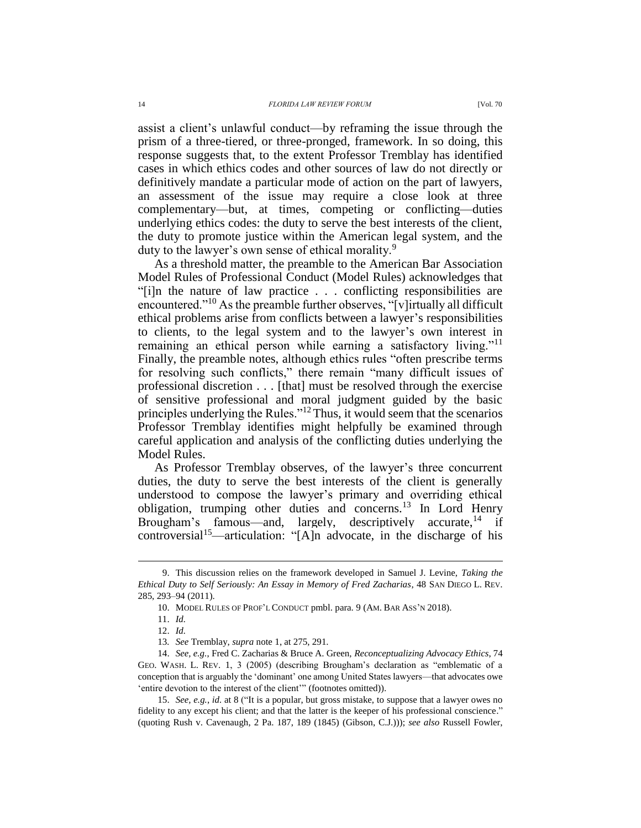assist a client's unlawful conduct—by reframing the issue through the prism of a three-tiered, or three-pronged, framework. In so doing, this response suggests that, to the extent Professor Tremblay has identified cases in which ethics codes and other sources of law do not directly or definitively mandate a particular mode of action on the part of lawyers, an assessment of the issue may require a close look at three complementary—but, at times, competing or conflicting—duties underlying ethics codes: the duty to serve the best interests of the client, the duty to promote justice within the American legal system, and the duty to the lawyer's own sense of ethical morality.<sup>9</sup>

<span id="page-1-1"></span>As a threshold matter, the preamble to the American Bar Association Model Rules of Professional Conduct (Model Rules) acknowledges that "[i]n the nature of law practice . . . conflicting responsibilities are encountered."<sup>10</sup> As the preamble further observes, "[v]irtually all difficult ethical problems arise from conflicts between a lawyer's responsibilities to clients, to the legal system and to the lawyer's own interest in remaining an ethical person while earning a satisfactory living."<sup>11</sup> Finally, the preamble notes, although ethics rules "often prescribe terms for resolving such conflicts," there remain "many difficult issues of professional discretion . . . [that] must be resolved through the exercise of sensitive professional and moral judgment guided by the basic principles underlying the Rules."<sup>12</sup> Thus, it would seem that the scenarios Professor Tremblay identifies might helpfully be examined through careful application and analysis of the conflicting duties underlying the Model Rules.

As Professor Tremblay observes, of the lawyer's three concurrent duties, the duty to serve the best interests of the client is generally understood to compose the lawyer's primary and overriding ethical obligation, trumping other duties and concerns.<sup>13</sup> In Lord Henry Brougham's famous—and, largely, descriptively accurate,  $14$  if controversial<sup>15</sup>—articulation: "[A]n advocate, in the discharge of his

<sup>9.</sup> This discussion relies on the framework developed in Samuel J. Levine, *Taking the Ethical Duty to Self Seriously: An Essay in Memory of Fred Zacharias*, 48 SAN DIEGO L. REV. 285, 293–94 (2011).

<span id="page-1-0"></span><sup>10.</sup> MODEL RULES OF PROF'L CONDUCT pmbl. para. 9 (AM. BAR ASS'N 2018).

<sup>11.</sup> *Id.*

<sup>12.</sup> *Id.*

<sup>13</sup>*. See* Tremblay, *supra* not[e 1,](#page-0-0) at 275, 291.

<sup>14.</sup> *See, e.g.*, Fred C. Zacharias & Bruce A. Green, *Reconceptualizing Advocacy Ethics*, 74 GEO. WASH. L. REV. 1, 3 (2005) (describing Brougham's declaration as "emblematic of a conception that is arguably the 'dominant' one among United States lawyers—that advocates owe 'entire devotion to the interest of the client'" (footnotes omitted)).

<sup>15.</sup> *See, e.g.*, *id.* at 8 ("It is a popular, but gross mistake, to suppose that a lawyer owes no fidelity to any except his client; and that the latter is the keeper of his professional conscience." (quoting Rush v. Cavenaugh, 2 Pa. 187, 189 (1845) (Gibson, C.J.))); *see also* Russell Fowler,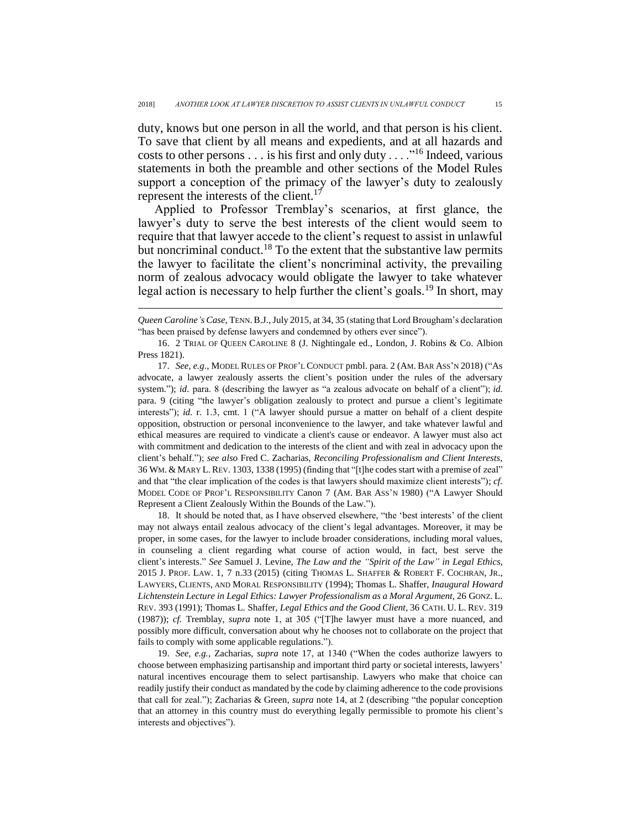duty, knows but one person in all the world, and that person is his client. To save that client by all means and expedients, and at all hazards and costs to other persons . . . is his first and only duty  $\dots$ <sup>16</sup> Indeed, various statements in both the preamble and other sections of the Model Rules support a conception of the primacy of the lawyer's duty to zealously represent the interests of the client.<sup>17</sup>

<span id="page-2-1"></span><span id="page-2-0"></span>Applied to Professor Tremblay's scenarios, at first glance, the lawyer's duty to serve the best interests of the client would seem to require that that lawyer accede to the client's request to assist in unlawful but noncriminal conduct.<sup>18</sup> To the extent that the substantive law permits the lawyer to facilitate the client's noncriminal activity, the prevailing norm of zealous advocacy would obligate the lawyer to take whatever legal action is necessary to help further the client's goals.<sup>19</sup> In short, may

 $\overline{a}$ 

18. It should be noted that, as I have observed elsewhere, "the 'best interests' of the client may not always entail zealous advocacy of the client's legal advantages. Moreover, it may be proper, in some cases, for the lawyer to include broader considerations, including moral values, in counseling a client regarding what course of action would, in fact, best serve the client's interests." *See* Samuel J. Levine, *The Law and the "Spirit of the Law" in Legal Ethics*, 2015 J. PROF. LAW. 1, 7 n.33 (2015) (citing THOMAS L. SHAFFER & ROBERT F. COCHRAN, JR., LAWYERS, CLIENTS, AND MORAL RESPONSIBILITY (1994); Thomas L. Shaffer, *Inaugural Howard Lichtenstein Lecture in Legal Ethics: Lawyer Professionalism as a Moral Argument*, 26 GONZ. L. REV. 393 (1991); Thomas L. Shaffer, *Legal Ethics and the Good Client*, 36 CATH. U. L. REV. 319 (1987)); *cf.* Tremblay, *supra* note [1,](#page-0-0) at 305 ("[T]he lawyer must have a more nuanced, and possibly more difficult, conversation about why he chooses not to collaborate on the project that fails to comply with some applicable regulations.").

19. *See, e.g.*, Zacharias, *supra* note [17,](#page-2-0) at 1340 ("When the codes authorize lawyers to choose between emphasizing partisanship and important third party or societal interests, lawyers' natural incentives encourage them to select partisanship. Lawyers who make that choice can readily justify their conduct as mandated by the code by claiming adherence to the code provisions that call for zeal."); Zacharias & Green, *supra* note [14,](#page-1-0) at 2 (describing "the popular conception that an attorney in this country must do everything legally permissible to promote his client's interests and objectives").

*Queen Caroline's Case*, TENN.B.J., July 2015, at 34, 35 (stating that Lord Brougham's declaration "has been praised by defense lawyers and condemned by others ever since").

<sup>16.</sup> 2 TRIAL OF QUEEN CAROLINE 8 (J. Nightingale ed., London, J. Robins & Co. Albion Press 1821).

<sup>17.</sup> *See, e.g.*, MODEL RULES OF PROF'L CONDUCT pmbl. para. 2 (AM. BAR ASS'N 2018) ("As advocate, a lawyer zealously asserts the client's position under the rules of the adversary system."); *id.* para. 8 (describing the lawyer as "a zealous advocate on behalf of a client"); *id.* para. 9 (citing "the lawyer's obligation zealously to protect and pursue a client's legitimate interests"); *id.* r. 1.3, cmt. 1 ("A lawyer should pursue a matter on behalf of a client despite opposition, obstruction or personal inconvenience to the lawyer, and take whatever lawful and ethical measures are required to vindicate a client's cause or endeavor. A lawyer must also act with commitment and dedication to the interests of the client and with zeal in advocacy upon the client's behalf."); *see also* Fred C. Zacharias, *Reconciling Professionalism and Client Interests*, 36 WM. & MARY L.REV. 1303, 1338 (1995) (finding that "[t]he codes start with a premise of zeal" and that "the clear implication of the codes is that lawyers should maximize client interests"); *cf.* MODEL CODE OF PROF'L RESPONSIBILITY Canon 7 (AM. BAR ASS'N 1980) ("A Lawyer Should Represent a Client Zealously Within the Bounds of the Law.").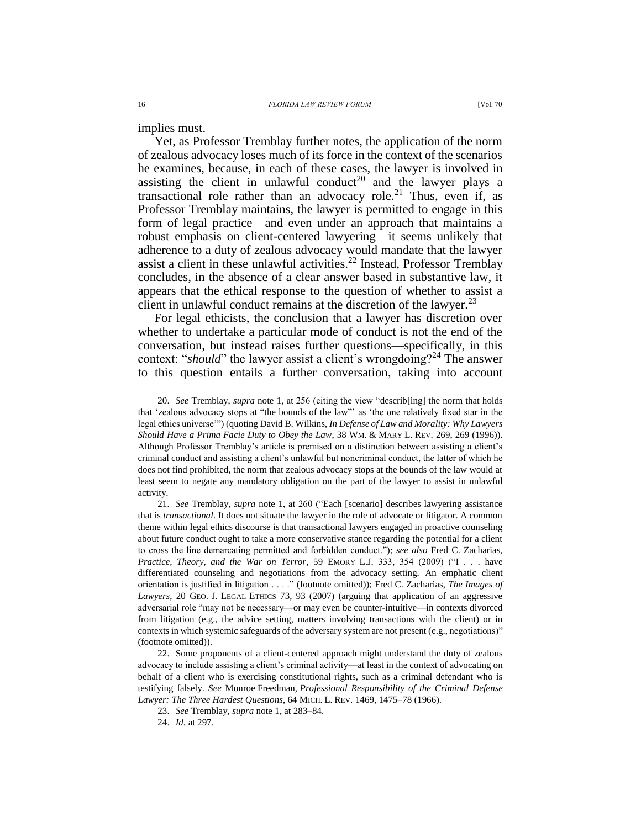implies must.

Yet, as Professor Tremblay further notes, the application of the norm of zealous advocacy loses much of its force in the context of the scenarios he examines, because, in each of these cases, the lawyer is involved in assisting the client in unlawful conduct<sup>20</sup> and the lawyer plays a transactional role rather than an advocacy role.<sup>21</sup> Thus, even if, as Professor Tremblay maintains, the lawyer is permitted to engage in this form of legal practice—and even under an approach that maintains a robust emphasis on client-centered lawyering—it seems unlikely that adherence to a duty of zealous advocacy would mandate that the lawyer assist a client in these unlawful activities.<sup>22</sup> Instead, Professor Tremblay concludes, in the absence of a clear answer based in substantive law, it appears that the ethical response to the question of whether to assist a client in unlawful conduct remains at the discretion of the lawyer.  $2<sup>3</sup>$ 

For legal ethicists, the conclusion that a lawyer has discretion over whether to undertake a particular mode of conduct is not the end of the conversation, but instead raises further questions—specifically, in this context: "*should*" the lawyer assist a client's wrongdoing?<sup>24</sup> The answer to this question entails a further conversation, taking into account

<sup>20.</sup> *See* Tremblay, *supra* note [1,](#page-0-0) at 256 (citing the view "describ[ing] the norm that holds that 'zealous advocacy stops at "the bounds of the law"' as 'the one relatively fixed star in the legal ethics universe'") (quoting David B. Wilkins, *In Defense of Law and Morality: Why Lawyers Should Have a Prima Facie Duty to Obey the Law*, 38 WM. & MARY L. REV. 269, 269 (1996)). Although Professor Tremblay's article is premised on a distinction between assisting a client's criminal conduct and assisting a client's unlawful but noncriminal conduct, the latter of which he does not find prohibited, the norm that zealous advocacy stops at the bounds of the law would at least seem to negate any mandatory obligation on the part of the lawyer to assist in unlawful activity.

<sup>21.</sup> *See* Tremblay, *supra* note [1,](#page-0-0) at 260 ("Each [scenario] describes lawyering assistance that is *transactional*. It does not situate the lawyer in the role of advocate or litigator. A common theme within legal ethics discourse is that transactional lawyers engaged in proactive counseling about future conduct ought to take a more conservative stance regarding the potential for a client to cross the line demarcating permitted and forbidden conduct."); *see also* Fred C. Zacharias, *Practice, Theory, and the War on Terror*, 59 EMORY L.J. 333, 354 (2009) ("I . . . have differentiated counseling and negotiations from the advocacy setting. An emphatic client orientation is justified in litigation . . . ." (footnote omitted)); Fred C. Zacharias, *The Images of Lawyers*, 20 GEO. J. LEGAL ETHICS 73, 93 (2007) (arguing that application of an aggressive adversarial role "may not be necessary—or may even be counter-intuitive—in contexts divorced from litigation (e.g., the advice setting, matters involving transactions with the client) or in contexts in which systemic safeguards of the adversary system are not present (e.g., negotiations)" (footnote omitted)).

<sup>22.</sup> Some proponents of a client-centered approach might understand the duty of zealous advocacy to include assisting a client's criminal activity—at least in the context of advocating on behalf of a client who is exercising constitutional rights, such as a criminal defendant who is testifying falsely. *See* Monroe Freedman, *Professional Responsibility of the Criminal Defense Lawyer: The Three Hardest Questions*, 64 MICH. L. REV. 1469, 1475–78 (1966).

<sup>23.</sup> *See* Tremblay, *supra* not[e 1,](#page-0-0) at 283–84.

<sup>24.</sup> *Id.* at 297.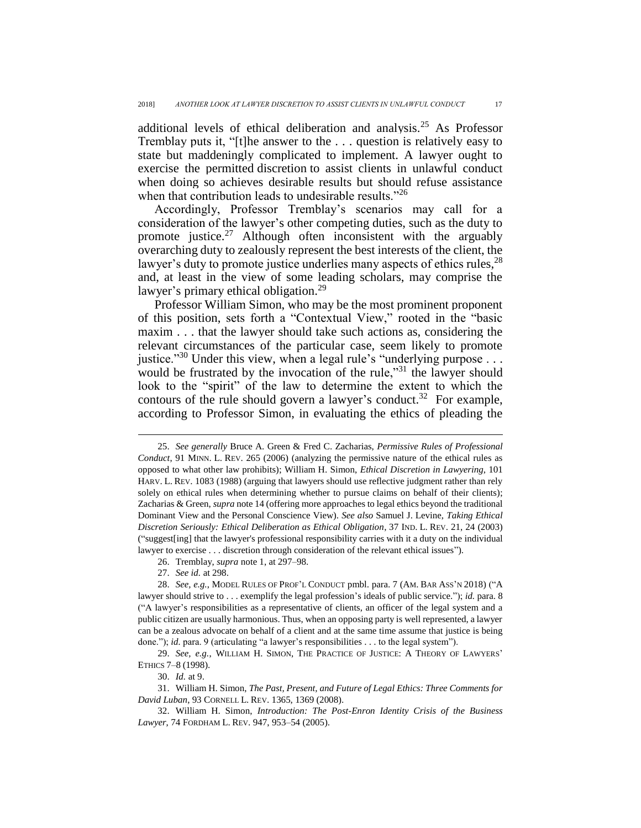<span id="page-4-1"></span>additional levels of ethical deliberation and analysis.<sup>25</sup> As Professor Tremblay puts it, "[t]he answer to the . . . question is relatively easy to state but maddeningly complicated to implement. A lawyer ought to exercise the permitted discretion to assist clients in unlawful conduct when doing so achieves desirable results but should refuse assistance when that contribution leads to undesirable results."<sup>26</sup>

Accordingly, Professor Tremblay's scenarios may call for a consideration of the lawyer's other competing duties, such as the duty to promote justice. $27$  Although often inconsistent with the arguably overarching duty to zealously represent the best interests of the client, the lawyer's duty to promote justice underlies many aspects of ethics rules,<sup>28</sup> and, at least in the view of some leading scholars, may comprise the lawyer's primary ethical obligation.<sup>29</sup>

<span id="page-4-0"></span>Professor William Simon, who may be the most prominent proponent of this position, sets forth a "Contextual View," rooted in the "basic maxim . . . that the lawyer should take such actions as, considering the relevant circumstances of the particular case, seem likely to promote justice."<sup>30</sup> Under this view, when a legal rule's "underlying purpose  $\dots$ would be frustrated by the invocation of the rule," $31$  the lawyer should look to the "spirit" of the law to determine the extent to which the contours of the rule should govern a lawyer's conduct.<sup>32</sup> For example, according to Professor Simon, in evaluating the ethics of pleading the

26. Tremblay, *supra* not[e 1,](#page-0-0) at 297–98.

 $\overline{a}$ 

30. *Id.* at 9.

31. William H. Simon, *The Past, Present, and Future of Legal Ethics: Three Comments for David Luban*, 93 CORNELL L. REV. 1365, 1369 (2008).

<sup>25.</sup> *See generally* Bruce A. Green & Fred C. Zacharias, *Permissive Rules of Professional Conduct*, 91 MINN. L. REV. 265 (2006) (analyzing the permissive nature of the ethical rules as opposed to what other law prohibits); William H. Simon, *Ethical Discretion in Lawyering*, 101 HARV. L. REV. 1083 (1988) (arguing that lawyers should use reflective judgment rather than rely solely on ethical rules when determining whether to pursue claims on behalf of their clients); Zacharias & Green, *supra* not[e 14](#page-1-0) (offering more approaches to legal ethics beyond the traditional Dominant View and the Personal Conscience View). *See also* Samuel J. Levine, *Taking Ethical Discretion Seriously: Ethical Deliberation as Ethical Obligation*, 37 IND. L. REV. 21, 24 (2003) ("suggest[ing] that the lawyer's professional responsibility carries with it a duty on the individual lawyer to exercise . . . discretion through consideration of the relevant ethical issues").

<sup>27.</sup> *See id.* at 298.

<sup>28.</sup> *See, e.g.*, MODEL RULES OF PROF'L CONDUCT pmbl. para. 7 (AM. BAR ASS'N 2018) ("A lawyer should strive to . . . exemplify the legal profession's ideals of public service."); *id.* para. 8 ("A lawyer's responsibilities as a representative of clients, an officer of the legal system and a public citizen are usually harmonious. Thus, when an opposing party is well represented, a lawyer can be a zealous advocate on behalf of a client and at the same time assume that justice is being done."); *id.* para. 9 (articulating "a lawyer's responsibilities . . . to the legal system").

<sup>29.</sup> *See, e.g.*, WILLIAM H. SIMON, THE PRACTICE OF JUSTICE: A THEORY OF LAWYERS' ETHICS 7–8 (1998).

<sup>32.</sup> William H. Simon, *Introduction: The Post-Enron Identity Crisis of the Business Lawyer*, 74 FORDHAM L. REV. 947, 953–54 (2005).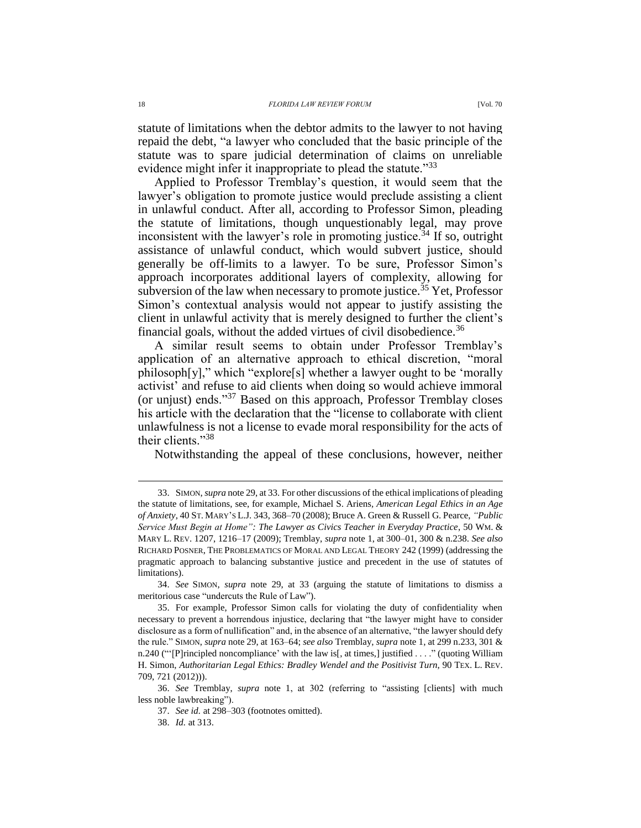statute of limitations when the debtor admits to the lawyer to not having repaid the debt, "a lawyer who concluded that the basic principle of the statute was to spare judicial determination of claims on unreliable evidence might infer it inappropriate to plead the statute."<sup>33</sup>

Applied to Professor Tremblay's question, it would seem that the lawyer's obligation to promote justice would preclude assisting a client in unlawful conduct. After all, according to Professor Simon, pleading the statute of limitations, though unquestionably legal, may prove inconsistent with the lawyer's role in promoting justice.<sup>34</sup> If so, outright assistance of unlawful conduct, which would subvert justice, should generally be off-limits to a lawyer. To be sure, Professor Simon's approach incorporates additional layers of complexity, allowing for subversion of the law when necessary to promote justice.<sup>35</sup> Yet, Professor Simon's contextual analysis would not appear to justify assisting the client in unlawful activity that is merely designed to further the client's financial goals, without the added virtues of civil disobedience.<sup>36</sup>

A similar result seems to obtain under Professor Tremblay's application of an alternative approach to ethical discretion, "moral philosoph[y]," which "explore[s] whether a lawyer ought to be 'morally activist' and refuse to aid clients when doing so would achieve immoral (or unjust) ends."<sup>37</sup> Based on this approach, Professor Tremblay closes his article with the declaration that the "license to collaborate with client unlawfulness is not a license to evade moral responsibility for the acts of their clients."<sup>38</sup>

Notwithstanding the appeal of these conclusions, however, neither

<sup>33.</sup> SIMON, *supra* not[e 29,](#page-4-0) at 33. For other discussions of the ethical implications of pleading the statute of limitations, see, for example, Michael S. Ariens*, American Legal Ethics in an Age of Anxiety*, 40 ST. MARY'S L.J. 343, 368–70 (2008); Bruce A. Green & Russell G. Pearce, *"Public Service Must Begin at Home": The Lawyer as Civics Teacher in Everyday Practice*, 50 WM. & MARY L. REV. 1207, 1216–17 (2009); Tremblay, *supra* not[e 1,](#page-0-0) at 300–01, 300 & n.238. *See also* RICHARD POSNER, THE PROBLEMATICS OF MORAL AND LEGAL THEORY 242 (1999) (addressing the pragmatic approach to balancing substantive justice and precedent in the use of statutes of limitations).

<sup>34.</sup> *See* SIMON, *supra* note [29,](#page-4-0) at 33 (arguing the statute of limitations to dismiss a meritorious case "undercuts the Rule of Law").

<sup>35.</sup> For example, Professor Simon calls for violating the duty of confidentiality when necessary to prevent a horrendous injustice, declaring that "the lawyer might have to consider disclosure as a form of nullification" and, in the absence of an alternative, "the lawyer should defy the rule." SIMON, *supra* not[e 29,](#page-4-0) at 163–64; *see also* Tremblay, *supra* note [1,](#page-0-0) at 299 n.233, 301 & n.240 ("'[P]rincipled noncompliance' with the law is[, at times,] justified . . . ." (quoting William H. Simon, *Authoritarian Legal Ethics: Bradley Wendel and the Positivist Turn*, 90 TEX. L. REV. 709, 721 (2012))).

<sup>36.</sup> *See* Tremblay, *supra* note [1,](#page-0-0) at 302 (referring to "assisting [clients] with much less noble lawbreaking").

<sup>37.</sup> *See id.* at 298–303 (footnotes omitted).

<sup>38.</sup> *Id.* at 313.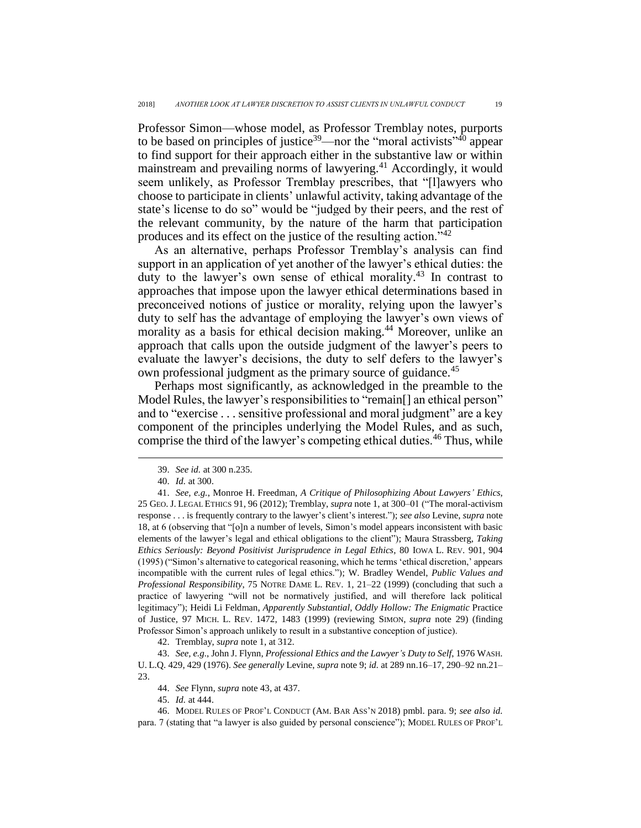Professor Simon—whose model, as Professor Tremblay notes, purports to be based on principles of justice<sup>39</sup>—nor the "moral activists"<sup>40</sup> appear to find support for their approach either in the substantive law or within mainstream and prevailing norms of lawyering.<sup>41</sup> Accordingly, it would seem unlikely, as Professor Tremblay prescribes, that "[l]awyers who choose to participate in clients' unlawful activity, taking advantage of the state's license to do so" would be "judged by their peers, and the rest of the relevant community, by the nature of the harm that participation produces and its effect on the justice of the resulting action."<sup>42</sup>

<span id="page-6-0"></span>As an alternative, perhaps Professor Tremblay's analysis can find support in an application of yet another of the lawyer's ethical duties: the duty to the lawyer's own sense of ethical morality. <sup>43</sup> In contrast to approaches that impose upon the lawyer ethical determinations based in preconceived notions of justice or morality, relying upon the lawyer's duty to self has the advantage of employing the lawyer's own views of morality as a basis for ethical decision making.<sup>44</sup> Moreover, unlike an approach that calls upon the outside judgment of the lawyer's peers to evaluate the lawyer's decisions, the duty to self defers to the lawyer's own professional judgment as the primary source of guidance.<sup>45</sup>

Perhaps most significantly, as acknowledged in the preamble to the Model Rules, the lawyer's responsibilities to "remain[] an ethical person" and to "exercise . . . sensitive professional and moral judgment" are a key component of the principles underlying the Model Rules, and as such, comprise the third of the lawyer's competing ethical duties.<sup>46</sup> Thus, while

 $\overline{a}$ 

42. Tremblay, *supra* not[e 1,](#page-0-0) at 312.

45. *Id.* at 444.

46. MODEL RULES OF PROF'L CONDUCT (AM. BAR ASS'N 2018) pmbl. para. 9; *see also id.* para. 7 (stating that "a lawyer is also guided by personal conscience"); MODEL RULES OF PROF'L

<sup>39.</sup> *See id.* at 300 n.235.

<sup>40.</sup> *Id.* at 300.

<sup>41.</sup> *See, e.g.*, Monroe H. Freedman, *A Critique of Philosophizing About Lawyers' Ethics*, 25 GEO.J. LEGAL ETHICS 91, 96 (2012); Tremblay, *supra* not[e 1,](#page-0-0) at 300–01 ("The moral-activism response . . . is frequently contrary to the lawyer's client's interest."); *see also* Levine, *supra* note [18,](#page-2-1) at 6 (observing that "[o]n a number of levels, Simon's model appears inconsistent with basic elements of the lawyer's legal and ethical obligations to the client"); Maura Strassberg, *Taking Ethics Seriously: Beyond Positivist Jurisprudence in Legal Ethics*, 80 IOWA L. REV. 901, 904 (1995) ("Simon's alternative to categorical reasoning, which he terms 'ethical discretion,' appears incompatible with the current rules of legal ethics."); W. Bradley Wendel, *Public Values and Professional Responsibility*, 75 NOTRE DAME L. REV. 1, 21–22 (1999) (concluding that such a practice of lawyering "will not be normatively justified, and will therefore lack political legitimacy"); Heidi Li Feldman, *Apparently Substantial, Oddly Hollow: The Enigmatic* Practice of Justice, 97 MICH. L. REV. 1472, 1483 (1999) (reviewing SIMON, *supra* note [29\)](#page-4-0) (finding Professor Simon's approach unlikely to result in a substantive conception of justice).

<sup>43.</sup> *See, e.g.*, John J. Flynn, *Professional Ethics and the Lawyer's Duty to Self*, 1976 WASH. U. L.Q. 429, 429 (1976). *See generally* Levine, *supra* not[e 9;](#page-1-1) *id.* at 289 nn.16–17, 290–92 nn.21– 23.

<sup>44.</sup> *See* Flynn, *supra* not[e 43,](#page-6-0) at 437.